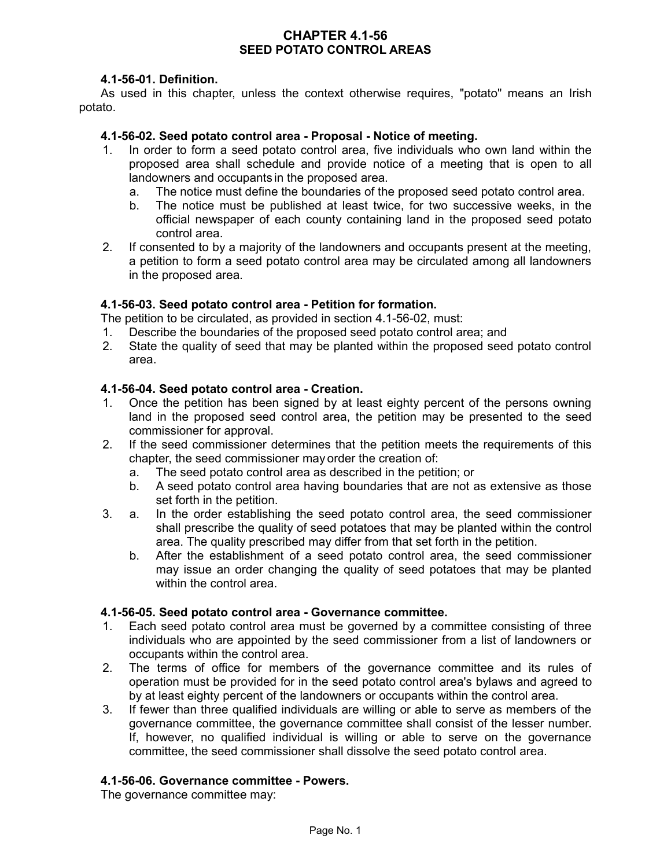## **CHAPTER 4.1-56 SEED POTATO CONTROL AREAS**

## **4.1-56-01. Definition.**

As used in this chapter, unless the context otherwise requires, "potato" means an Irish potato.

### **4.1-56-02. Seed potato control area - Proposal - Notice of meeting.**

- 1. In order to form a seed potato control area, five individuals who own land within the proposed area shall schedule and provide notice of a meeting that is open to all landowners and occupants in the proposed area.
	- a. The notice must define the boundaries of the proposed seed potato control area.
	- b. The notice must be published at least twice, for two successive weeks, in the official newspaper of each county containing land in the proposed seed potato control area.
- 2. If consented to by a majority of the landowners and occupants present at the meeting, a petition to form a seed potato control area may be circulated among all landowners in the proposed area.

### **4.1-56-03. Seed potato control area - Petition for formation.**

The petition to be circulated, as provided in section 4.1-56-02, must:

- 1. Describe the boundaries of the proposed seed potato control area; and
- 2. State the quality of seed that may be planted within the proposed seed potato control area.

### **4.1-56-04. Seed potato control area - Creation.**

- 1. Once the petition has been signed by at least eighty percent of the persons owning land in the proposed seed control area, the petition may be presented to the seed commissioner for approval.
- 2. If the seed commissioner determines that the petition meets the requirements of this chapter, the seed commissioner may order the creation of:
	- a. The seed potato control area as described in the petition; or
	- b. A seed potato control area having boundaries that are not as extensive as those set forth in the petition.
- 3. a. In the order establishing the seed potato control area, the seed commissioner shall prescribe the quality of seed potatoes that may be planted within the control area. The quality prescribed may differ from that set forth in the petition.
	- b. After the establishment of a seed potato control area, the seed commissioner may issue an order changing the quality of seed potatoes that may be planted within the control area.

### **4.1-56-05. Seed potato control area - Governance committee.**

- 1. Each seed potato control area must be governed by a committee consisting of three individuals who are appointed by the seed commissioner from a list of landowners or occupants within the control area.
- 2. The terms of office for members of the governance committee and its rules of operation must be provided for in the seed potato control area's bylaws and agreed to by at least eighty percent of the landowners or occupants within the control area.
- 3. If fewer than three qualified individuals are willing or able to serve as members of the governance committee, the governance committee shall consist of the lesser number. If, however, no qualified individual is willing or able to serve on the governance committee, the seed commissioner shall dissolve the seed potato control area.

### **4.1-56-06. Governance committee - Powers.**

The governance committee may: